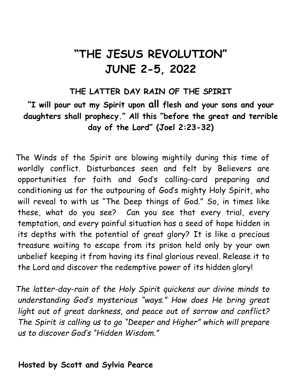# "THE JESUS REVOLUTION" JUNE 2-5, 2022

#### THE LATTER DAY RAIN OF THE SPIRIT

### "I will pour out my Spirit upon all flesh and your sons and your daughters shall prophecy." All this "before the great and terrible day of the Lord" (Joel 2:23-32)

The Winds of the Spirit are blowing mightily during this time of worldly conflict. Disturbances seen and felt by Believers are opportunities for faith and God's calling-card preparing and conditioning us for the outpouring of God's mighty Holy Spirit, who will reveal to with us "The Deep things of God." So, in times like these, what do you see? Can you see that every trial, every temptation, and every painful situation has a seed of hope hidden in its depths with the potential of great glory? It is like a precious treasure waiting to escape from its prison held only by your own unbelief keeping it from having its final glorious reveal. Release it to the Lord and discover the redemptive power of its hidden glory!

The latter-day-rain of the Holy Spirit quickens our divine minds to understanding God's mysterious "ways." How does He bring great light out of great darkness, and peace out of sorrow and conflict? The Spirit is calling us to go "Deeper and Higher" which will prepare us to discover God's "Hidden Wisdom."

#### Hosted by Scott and Sylvia Pearce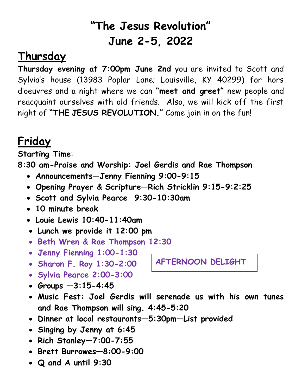# "The Jesus Revolution" June 2-5, 2022

### Thursday

Thursday evening at 7:00pm June 2nd you are invited to Scott and Sylvia's house (13983 Poplar Lane; Louisville, KY 40299) for hors d'oeuvres and a night where we can "meet and greet" new people and reacquaint ourselves with old friends. Also, we will kick off the first night of "THE JESUS REVOLUTION." Come join in on the fun!

# Friday

Starting Time:

8:30 am-Praise and Worship: Joel Gerdis and Rae Thompson

- Announcements—Jenny Fienning 9:00-9:15
- Opening Prayer & Scripture—Rich Stricklin 9:15-9:2:25
- Scott and Sylvia Pearce 9:30-10:30am
- 10 minute break
- Louie Lewis 10:40-11:40am
- Lunch we provide it 12:00 pm
- Beth Wren & Rae Thompson 12:30
- Jenny Fienning 1:00-1:30
- Sharon F. Roy 1:30-2:00
- Sylvia Pearce 2:00-3:00
- Groups  $-3:15-4:45$
- Music Fest: Joel Gerdis will serenade us with his own tunes and Rae Thompson will sing. 4:45-5:20
- Dinner at local restaurants—5:30pm—List provided
- Singing by Jenny at 6:45
- Rich Stanley- $7:00$ - $7:55$
- Brett Burrowes—8:00-9:00
- Q and A until 9:30

AFTERNOON DELIGHT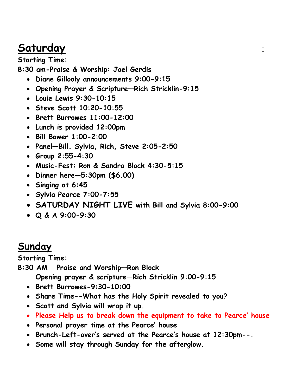### **Saturday**

Starting Time: 8:30 am-Praise & Worship: Joel Gerdis

- Diane Gillooly announcements 9:00-9:15
- Opening Prayer & Scripture—Rich Stricklin-9:15
- Louie Lewis 9:30-10:15
- Steve Scott 10:20-10:55
- Brett Burrowes 11:00-12:00
- Lunch is provided 12:00pm
- Bill Bower 1:00-2:00
- Panel—Bill. Sylvia, Rich, Steve 2:05-2:50
- Group 2:55-4:30
- Music-Fest: Ron & Sandra Block 4:30-5:15
- Dinner here—5:30pm (\$6.00)
- Singing at 6:45
- Sylvia Pearce 7:00-7:55
- SATURDAY NIGHT LIVE with Bill and Sylvia 8:00-9:00
- Q & A 9:00-9:30

### Sunday

Starting Time:

8:30 AM Praise and Worship—Ron Block

Opening prayer & scripture—Rich Stricklin 9:00-9:15

- Brett Burrowes-9:30-10:00
- Share Time--What has the Holy Spirit revealed to you?
- Scott and Sylvia will wrap it up.
- Please Help us to break down the equipment to take to Pearce' house
- Personal prayer time at the Pearce' house
- Brunch-Left-over's served at the Pearce's house at 12:30pm--.
- Some will stay through Sunday for the afterglow.